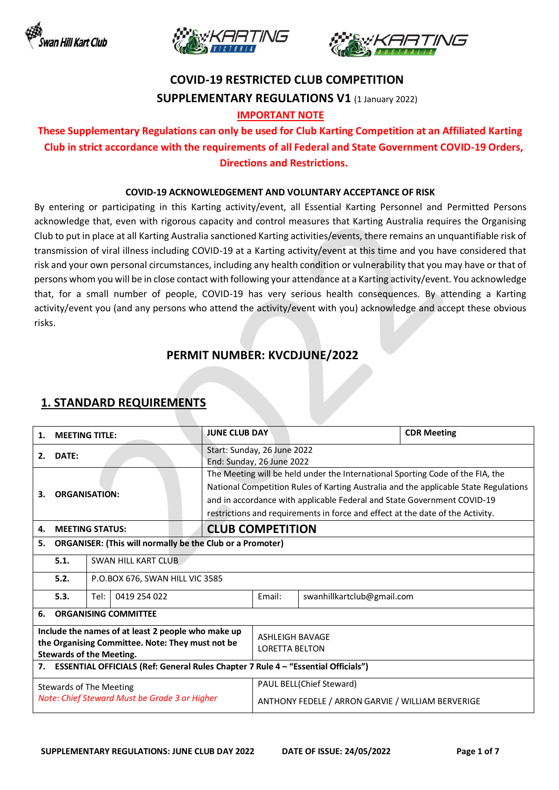





# **COVID-19 RESTRICTED CLUB COMPETITION SUPPLEMENTARY REGULATIONS V1** (1 January 2022)

#### **IMPORTANT NOTE**

### **These Supplementary Regulations can only be used for Club Karting Competition at an Affiliated Karting Club in strict accordance with the requirements of all Federal and State Government COVID-19 Orders, Directions and Restrictions.**

#### **COVID-19 ACKNOWLEDGEMENT AND VOLUNTARY ACCEPTANCE OF RISK**

By entering or participating in this Karting activity/event, all Essential Karting Personnel and Permitted Persons acknowledge that, even with rigorous capacity and control measures that Karting Australia requires the Organising Club to put in place at all Karting Australia sanctioned Karting activities/events, there remains an unquantifiable risk of transmission of viral illness including COVID-19 at a Karting activity/event at this time and you have considered that risk and your own personal circumstances, including any health condition or vulnerability that you may have or that of persons whom you will be in close contact with following your attendance at a Karting activity/event. You acknowledge that, for a small number of people, COVID-19 has very serious health consequences. By attending a Karting activity/event you (and any persons who attend the activity/event with you) acknowledge and accept these obvious risks.

### **PERMIT NUMBER: KVCDJUNE/2022**

#### 1. **MEETING TITLE: JUNE CLUB DAY CLUB ON A** CDR Meeting **2. DATE:** Start: Sunday, 26 June 2022 End: Sunday, 26 June 2022 **3. ORGANISATION:** The Meeting will be held under the International Sporting Code of the FIA, the National Competition Rules of Karting Australia and the applicable State Regulations and in accordance with applicable Federal and State Government COVID-19 restrictions and requirements in force and effect at the date of the Activity. **4. MEETING STATUS: CLUB COMPETITION 5. ORGANISER: (This will normally be the Club or a Promoter) 5.1.** SWAN HILL KART CLUB **5.2.** P.O.BOX 676, SWAN HILL VIC 3585 **5.3.** Tel: 0419 254 022 Email: swanhillkartclub@gmail.com **6. ORGANISING COMMITTEE Include the names of at least 2 people who make up the Organising Committee. Note: They must not be Stewards of the Meeting.** ASHLEIGH BAVAGE LORETTA BELTON **7. ESSENTIAL OFFICIALS (Ref: General Rules Chapter 7 Rule 4 – "Essential Officials")** Stewards of The Meeting *Note: Chief Steward Must be Grade 3 or Higher* PAUL BELL(Chief Steward) ANTHONY FEDELE / ARRON GARVIE / WILLIAM BERVERIGE

### **1. STANDARD REQUIREMENTS**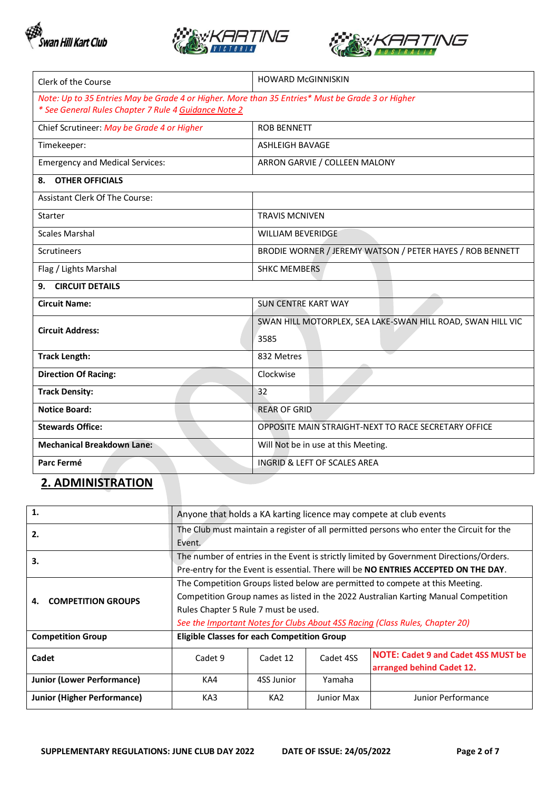





| Clerk of the Course                                                                              | <b>HOWARD McGINNISKIN</b>                                   |
|--------------------------------------------------------------------------------------------------|-------------------------------------------------------------|
| Note: Up to 35 Entries May be Grade 4 or Higher. More than 35 Entries* Must be Grade 3 or Higher |                                                             |
| * See General Rules Chapter 7 Rule 4 Guidance Note 2                                             |                                                             |
| Chief Scrutineer: May be Grade 4 or Higher                                                       | <b>ROB BENNETT</b>                                          |
| Timekeeper:                                                                                      | <b>ASHLEIGH BAVAGE</b>                                      |
| <b>Emergency and Medical Services:</b>                                                           | ARRON GARVIE / COLLEEN MALONY                               |
| <b>OTHER OFFICIALS</b><br>8.                                                                     |                                                             |
| Assistant Clerk Of The Course:                                                                   |                                                             |
| Starter                                                                                          | <b>TRAVIS MCNIVEN</b>                                       |
| <b>Scales Marshal</b>                                                                            | <b>WILLIAM BEVERIDGE</b>                                    |
| <b>Scrutineers</b>                                                                               | BRODIE WORNER / JEREMY WATSON / PETER HAYES / ROB BENNETT   |
| Flag / Lights Marshal                                                                            | <b>SHKC MEMBERS</b>                                         |
| <b>CIRCUIT DETAILS</b><br>9.                                                                     |                                                             |
| <b>Circuit Name:</b>                                                                             | <b>SUN CENTRE KART WAY</b>                                  |
| <b>Circuit Address:</b>                                                                          | SWAN HILL MOTORPLEX, SEA LAKE-SWAN HILL ROAD, SWAN HILL VIC |
|                                                                                                  | 3585                                                        |
| <b>Track Length:</b>                                                                             | 832 Metres                                                  |
| <b>Direction Of Racing:</b>                                                                      | Clockwise                                                   |
| <b>Track Density:</b>                                                                            | 32                                                          |
| <b>Notice Board:</b>                                                                             | <b>REAR OF GRID</b>                                         |
| <b>Stewards Office:</b>                                                                          | OPPOSITE MAIN STRAIGHT-NEXT TO RACE SECRETARY OFFICE        |
| <b>Mechanical Breakdown Lane:</b>                                                                | Will Not be in use at this Meeting.                         |
| Parc Fermé                                                                                       | <b>INGRID &amp; LEFT OF SCALES AREA</b>                     |

# **2. ADMINISTRATION**

| 1.                                | Anyone that holds a KA karting licence may compete at club events                                                                                                                                                                                                                            |                 |            |                                                                         |
|-----------------------------------|----------------------------------------------------------------------------------------------------------------------------------------------------------------------------------------------------------------------------------------------------------------------------------------------|-----------------|------------|-------------------------------------------------------------------------|
| 2.                                | The Club must maintain a register of all permitted persons who enter the Circuit for the<br>Event.                                                                                                                                                                                           |                 |            |                                                                         |
| 3.                                | The number of entries in the Event is strictly limited by Government Directions/Orders.<br>Pre-entry for the Event is essential. There will be NO ENTRIES ACCEPTED ON THE DAY.                                                                                                               |                 |            |                                                                         |
| <b>COMPETITION GROUPS</b><br>4.   | The Competition Groups listed below are permitted to compete at this Meeting.<br>Competition Group names as listed in the 2022 Australian Karting Manual Competition<br>Rules Chapter 5 Rule 7 must be used.<br>See the Important Notes for Clubs About 4SS Racing (Class Rules, Chapter 20) |                 |            |                                                                         |
| <b>Competition Group</b>          | <b>Eligible Classes for each Competition Group</b>                                                                                                                                                                                                                                           |                 |            |                                                                         |
| Cadet                             | Cadet 9                                                                                                                                                                                                                                                                                      | Cadet 12        | Cadet 4SS  | <b>NOTE: Cadet 9 and Cadet 4SS MUST be</b><br>arranged behind Cadet 12. |
| <b>Junior (Lower Performance)</b> | KA4                                                                                                                                                                                                                                                                                          | 4SS Junior      | Yamaha     |                                                                         |
| Junior (Higher Performance)       | KA3                                                                                                                                                                                                                                                                                          | KA <sub>2</sub> | Junior Max | Junior Performance                                                      |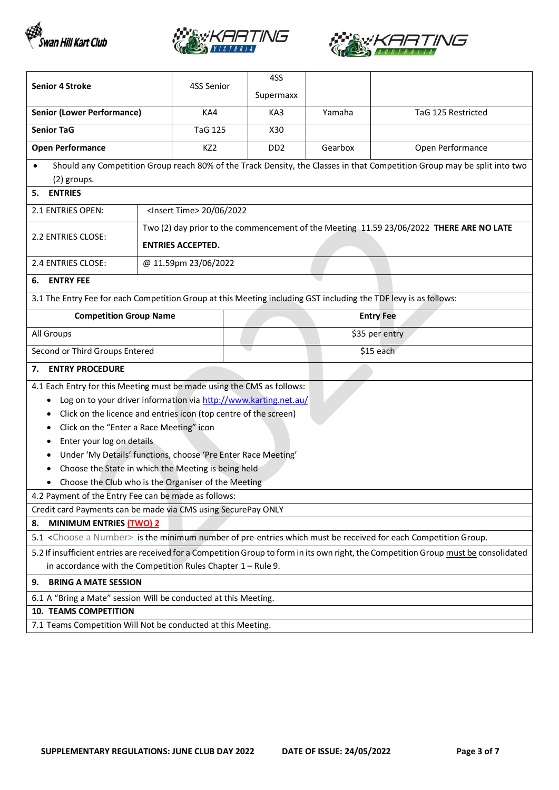





| <b>Senior 4 Stroke</b>                                                                                                                | 4SS Senior                                                       |  | 4SS                         |         |                                                                                                                          |
|---------------------------------------------------------------------------------------------------------------------------------------|------------------------------------------------------------------|--|-----------------------------|---------|--------------------------------------------------------------------------------------------------------------------------|
|                                                                                                                                       |                                                                  |  | Supermaxx                   |         |                                                                                                                          |
| <b>Senior (Lower Performance)</b>                                                                                                     | KA4                                                              |  | KA3                         | Yamaha  | TaG 125 Restricted                                                                                                       |
| <b>Senior TaG</b>                                                                                                                     | <b>TaG 125</b>                                                   |  | X30                         |         |                                                                                                                          |
| <b>Open Performance</b>                                                                                                               | KZ <sub>2</sub>                                                  |  | D <sub>D</sub> <sub>2</sub> | Gearbox | Open Performance                                                                                                         |
| (2) groups.                                                                                                                           |                                                                  |  |                             |         | Should any Competition Group reach 80% of the Track Density, the Classes in that Competition Group may be split into two |
| <b>ENTRIES</b><br>5.                                                                                                                  |                                                                  |  |                             |         |                                                                                                                          |
| 2.1 ENTRIES OPEN:                                                                                                                     | <lnsert time=""> 20/06/2022</lnsert>                             |  |                             |         |                                                                                                                          |
|                                                                                                                                       |                                                                  |  |                             |         | Two (2) day prior to the commencement of the Meeting 11.59 23/06/2022 THERE ARE NO LATE                                  |
| 2.2 ENTRIES CLOSE:                                                                                                                    | <b>ENTRIES ACCEPTED.</b>                                         |  |                             |         |                                                                                                                          |
| 2.4 ENTRIES CLOSE:                                                                                                                    | @ 11.59pm 23/06/2022                                             |  |                             |         |                                                                                                                          |
| <b>ENTRY FEE</b><br>6.                                                                                                                |                                                                  |  |                             |         |                                                                                                                          |
| 3.1 The Entry Fee for each Competition Group at this Meeting including GST including the TDF levy is as follows:                      |                                                                  |  |                             |         |                                                                                                                          |
| <b>Competition Group Name</b>                                                                                                         |                                                                  |  |                             |         | <b>Entry Fee</b>                                                                                                         |
| All Groups                                                                                                                            |                                                                  |  | \$35 per entry              |         |                                                                                                                          |
| Second or Third Groups Entered                                                                                                        |                                                                  |  |                             |         | \$15 each                                                                                                                |
| <b>ENTRY PROCEDURE</b><br>7.                                                                                                          |                                                                  |  |                             |         |                                                                                                                          |
| 4.1 Each Entry for this Meeting must be made using the CMS as follows:                                                                |                                                                  |  |                             |         |                                                                                                                          |
|                                                                                                                                       | Log on to your driver information via http://www.karting.net.au/ |  |                             |         |                                                                                                                          |
|                                                                                                                                       | Click on the licence and entries icon (top centre of the screen) |  |                             |         |                                                                                                                          |
| ٠                                                                                                                                     | Click on the "Enter a Race Meeting" icon                         |  |                             |         |                                                                                                                          |
| Enter your log on details                                                                                                             |                                                                  |  |                             |         |                                                                                                                          |
| ٠                                                                                                                                     | Under 'My Details' functions, choose 'Pre Enter Race Meeting'    |  |                             |         |                                                                                                                          |
|                                                                                                                                       | Choose the State in which the Meeting is being held              |  |                             |         |                                                                                                                          |
| Choose the Club who is the Organiser of the Meeting<br>$\bullet$<br>4.2 Payment of the Entry Fee can be made as follows:              |                                                                  |  |                             |         |                                                                                                                          |
| Credit card Payments can be made via CMS using SecurePay ONLY                                                                         |                                                                  |  |                             |         |                                                                                                                          |
| MINIMUM ENTRIES (TWO) 2<br>8.                                                                                                         |                                                                  |  |                             |         |                                                                                                                          |
| 5.1 <choose a="" number=""> is the minimum number of pre-entries which must be received for each Competition Group.</choose>          |                                                                  |  |                             |         |                                                                                                                          |
| 5.2 If insufficient entries are received for a Competition Group to form in its own right, the Competition Group must be consolidated |                                                                  |  |                             |         |                                                                                                                          |
| in accordance with the Competition Rules Chapter $1 -$ Rule 9.                                                                        |                                                                  |  |                             |         |                                                                                                                          |
| <b>BRING A MATE SESSION</b><br>9.                                                                                                     |                                                                  |  |                             |         |                                                                                                                          |
|                                                                                                                                       | 6.1 A "Bring a Mate" session Will be conducted at this Meeting.  |  |                             |         |                                                                                                                          |
| <b>10. TEAMS COMPETITION</b>                                                                                                          |                                                                  |  |                             |         |                                                                                                                          |
| 7.1 Teams Competition Will Not be conducted at this Meeting.                                                                          |                                                                  |  |                             |         |                                                                                                                          |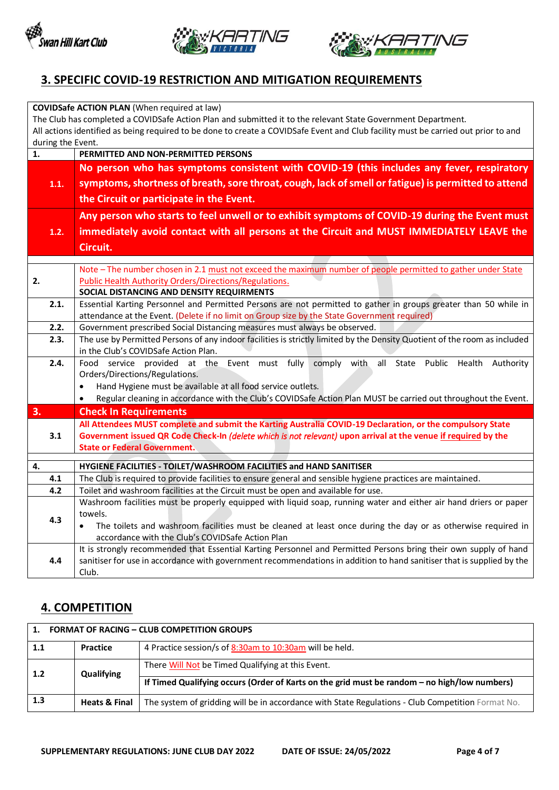





## **3. SPECIFIC COVID-19 RESTRICTION AND MITIGATION REQUIREMENTS**

|                                                                                                              | <b>COVIDSafe ACTION PLAN (When required at law)</b>                                                                                                           |  |  |
|--------------------------------------------------------------------------------------------------------------|---------------------------------------------------------------------------------------------------------------------------------------------------------------|--|--|
| The Club has completed a COVIDSafe Action Plan and submitted it to the relevant State Government Department. |                                                                                                                                                               |  |  |
|                                                                                                              | All actions identified as being required to be done to create a COVIDSafe Event and Club facility must be carried out prior to and                            |  |  |
| during the Event.                                                                                            |                                                                                                                                                               |  |  |
| 1.                                                                                                           | PERMITTED AND NON-PERMITTED PERSONS                                                                                                                           |  |  |
|                                                                                                              | No person who has symptoms consistent with COVID-19 (this includes any fever, respiratory                                                                     |  |  |
| 1.1.                                                                                                         | symptoms, shortness of breath, sore throat, cough, lack of smell or fatigue) is permitted to attend                                                           |  |  |
|                                                                                                              | the Circuit or participate in the Event.                                                                                                                      |  |  |
|                                                                                                              | Any person who starts to feel unwell or to exhibit symptoms of COVID-19 during the Event must                                                                 |  |  |
| 1.2.                                                                                                         | immediately avoid contact with all persons at the Circuit and MUST IMMEDIATELY LEAVE the                                                                      |  |  |
|                                                                                                              | Circuit.                                                                                                                                                      |  |  |
|                                                                                                              |                                                                                                                                                               |  |  |
|                                                                                                              | Note - The number chosen in 2.1 must not exceed the maximum number of people permitted to gather under State                                                  |  |  |
| 2.                                                                                                           | <b>Public Health Authority Orders/Directions/Regulations.</b>                                                                                                 |  |  |
|                                                                                                              | SOCIAL DISTANCING AND DENSITY REQUIRMENTS<br>Essential Karting Personnel and Permitted Persons are not permitted to gather in groups greater than 50 while in |  |  |
| 2.1.                                                                                                         | attendance at the Event. (Delete if no limit on Group size by the State Government required)                                                                  |  |  |
| 2.2.                                                                                                         | Government prescribed Social Distancing measures must always be observed.                                                                                     |  |  |
| 2.3.                                                                                                         | The use by Permitted Persons of any indoor facilities is strictly limited by the Density Quotient of the room as included                                     |  |  |
|                                                                                                              | in the Club's COVIDSafe Action Plan.                                                                                                                          |  |  |
| 2.4.                                                                                                         | Food service provided at the Event must fully comply<br>all<br>with<br>State Public<br>Health Authority                                                       |  |  |
|                                                                                                              | Orders/Directions/Regulations.                                                                                                                                |  |  |
|                                                                                                              | Hand Hygiene must be available at all food service outlets.                                                                                                   |  |  |
|                                                                                                              | Regular cleaning in accordance with the Club's COVIDSafe Action Plan MUST be carried out throughout the Event.<br>$\bullet$                                   |  |  |
| 3.                                                                                                           | <b>Check In Requirements</b>                                                                                                                                  |  |  |
|                                                                                                              | All Attendees MUST complete and submit the Karting Australia COVID-19 Declaration, or the compulsory State                                                    |  |  |
| 3.1                                                                                                          | Government issued QR Code Check-In (delete which is not relevant) upon arrival at the venue if required by the                                                |  |  |
|                                                                                                              | <b>State or Federal Government.</b>                                                                                                                           |  |  |
| 4.                                                                                                           | HYGIENE FACILITIES - TOILET/WASHROOM FACILITIES and HAND SANITISER                                                                                            |  |  |
| 4.1                                                                                                          | The Club is required to provide facilities to ensure general and sensible hygiene practices are maintained.                                                   |  |  |
| 4.2                                                                                                          | Toilet and washroom facilities at the Circuit must be open and available for use.                                                                             |  |  |
|                                                                                                              | Washroom facilities must be properly equipped with liquid soap, running water and either air hand driers or paper                                             |  |  |
| 4.3                                                                                                          | towels.                                                                                                                                                       |  |  |
|                                                                                                              | The toilets and washroom facilities must be cleaned at least once during the day or as otherwise required in<br>$\bullet$                                     |  |  |
|                                                                                                              | accordance with the Club's COVIDSafe Action Plan                                                                                                              |  |  |
|                                                                                                              | It is strongly recommended that Essential Karting Personnel and Permitted Persons bring their own supply of hand                                              |  |  |
| 4.4                                                                                                          | sanitiser for use in accordance with government recommendations in addition to hand sanitiser that is supplied by the                                         |  |  |
|                                                                                                              | Club.                                                                                                                                                         |  |  |

# **4. COMPETITION**

| 1.  | <b>FORMAT OF RACING - CLUB COMPETITION GROUPS</b> |                                                                                                   |  |  |  |
|-----|---------------------------------------------------|---------------------------------------------------------------------------------------------------|--|--|--|
| 1.1 | Practice                                          | 4 Practice session/s of 8:30am to 10:30am will be held.                                           |  |  |  |
| 1.2 | <b>Qualifying</b>                                 | There Will Not be Timed Qualifying at this Event.                                                 |  |  |  |
|     |                                                   | If Timed Qualifying occurs (Order of Karts on the grid must be random – no high/low numbers)      |  |  |  |
| 1.3 | <b>Heats &amp; Final</b>                          | The system of gridding will be in accordance with State Regulations - Club Competition Format No. |  |  |  |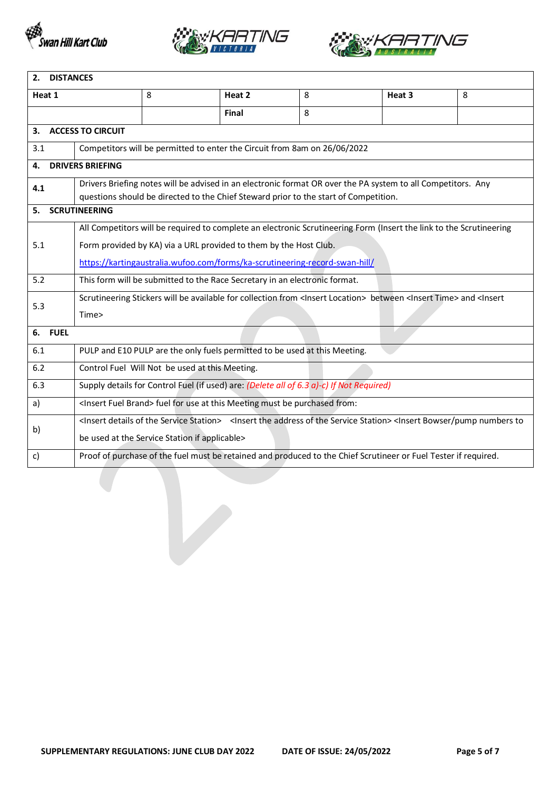





| <b>DISTANCES</b><br>2. |                                                                                                                                                                                                      |   |                                                                                          |   |                                                                                                                                                                                                     |   |
|------------------------|------------------------------------------------------------------------------------------------------------------------------------------------------------------------------------------------------|---|------------------------------------------------------------------------------------------|---|-----------------------------------------------------------------------------------------------------------------------------------------------------------------------------------------------------|---|
| Heat 1                 |                                                                                                                                                                                                      | 8 | Heat 2                                                                                   | 8 | Heat 3                                                                                                                                                                                              | 8 |
|                        |                                                                                                                                                                                                      |   | Final                                                                                    | 8 |                                                                                                                                                                                                     |   |
| 3.                     | <b>ACCESS TO CIRCUIT</b>                                                                                                                                                                             |   |                                                                                          |   |                                                                                                                                                                                                     |   |
| 3.1                    |                                                                                                                                                                                                      |   | Competitors will be permitted to enter the Circuit from 8am on 26/06/2022                |   |                                                                                                                                                                                                     |   |
| 4.                     | <b>DRIVERS BRIEFING</b>                                                                                                                                                                              |   |                                                                                          |   |                                                                                                                                                                                                     |   |
| 4.1                    | Drivers Briefing notes will be advised in an electronic format OR over the PA system to all Competitors. Any<br>questions should be directed to the Chief Steward prior to the start of Competition. |   |                                                                                          |   |                                                                                                                                                                                                     |   |
| 5.                     | <b>SCRUTINEERING</b>                                                                                                                                                                                 |   |                                                                                          |   |                                                                                                                                                                                                     |   |
|                        |                                                                                                                                                                                                      |   |                                                                                          |   | All Competitors will be required to complete an electronic Scrutineering Form (Insert the link to the Scrutineering                                                                                 |   |
| 5.1                    |                                                                                                                                                                                                      |   | Form provided by KA) via a URL provided to them by the Host Club.                        |   |                                                                                                                                                                                                     |   |
|                        |                                                                                                                                                                                                      |   | https://kartingaustralia.wufoo.com/forms/ka-scrutineering-record-swan-hill/              |   |                                                                                                                                                                                                     |   |
| 5.2                    | This form will be submitted to the Race Secretary in an electronic format.                                                                                                                           |   |                                                                                          |   |                                                                                                                                                                                                     |   |
| 5.3                    | Scrutineering Stickers will be available for collection from <insert location=""> between <insert time=""> and <insert< td=""></insert<></insert></insert>                                           |   |                                                                                          |   |                                                                                                                                                                                                     |   |
|                        | Time>                                                                                                                                                                                                |   |                                                                                          |   |                                                                                                                                                                                                     |   |
| <b>FUEL</b><br>6.      |                                                                                                                                                                                                      |   |                                                                                          |   |                                                                                                                                                                                                     |   |
| 6.1                    |                                                                                                                                                                                                      |   | PULP and E10 PULP are the only fuels permitted to be used at this Meeting.               |   |                                                                                                                                                                                                     |   |
| 6.2                    |                                                                                                                                                                                                      |   | Control Fuel Will Not be used at this Meeting.                                           |   |                                                                                                                                                                                                     |   |
| 6.3                    |                                                                                                                                                                                                      |   | Supply details for Control Fuel (if used) are: (Delete all of 6.3 a)-c) If Not Required) |   |                                                                                                                                                                                                     |   |
| a)                     |                                                                                                                                                                                                      |   | <insert brand="" fuel=""> fuel for use at this Meeting must be purchased from:</insert>  |   |                                                                                                                                                                                                     |   |
| b)                     |                                                                                                                                                                                                      |   |                                                                                          |   | <insert details="" of="" service="" station="" the=""> <insert address="" of="" service="" station="" the=""><insert bowser="" numbers="" pump="" td="" to<=""><th></th></insert></insert></insert> |   |
|                        | be used at the Service Station if applicable>                                                                                                                                                        |   |                                                                                          |   |                                                                                                                                                                                                     |   |
| c)                     |                                                                                                                                                                                                      |   |                                                                                          |   | Proof of purchase of the fuel must be retained and produced to the Chief Scrutineer or Fuel Tester if required.                                                                                     |   |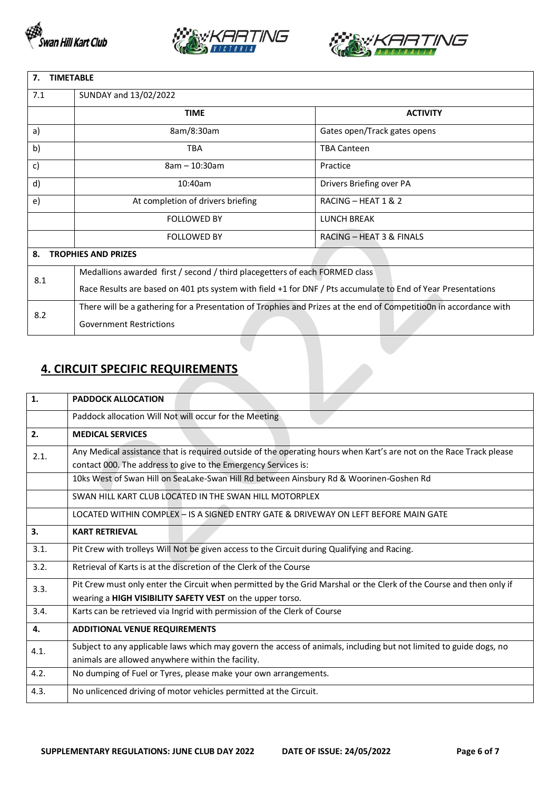





| 7.<br><b>TIMETABLE</b>                                                                                       |                                                                                                                   |                              |  |  |  |
|--------------------------------------------------------------------------------------------------------------|-------------------------------------------------------------------------------------------------------------------|------------------------------|--|--|--|
| 7.1                                                                                                          | SUNDAY and 13/02/2022                                                                                             |                              |  |  |  |
|                                                                                                              | <b>TIME</b>                                                                                                       | <b>ACTIVITY</b>              |  |  |  |
| a)                                                                                                           | 8am/8:30am                                                                                                        | Gates open/Track gates opens |  |  |  |
| b)                                                                                                           | <b>TBA</b>                                                                                                        | <b>TBA Canteen</b>           |  |  |  |
| c)                                                                                                           | $8am - 10:30am$                                                                                                   | Practice                     |  |  |  |
| d)                                                                                                           | 10:40am                                                                                                           | Drivers Briefing over PA     |  |  |  |
| e)                                                                                                           | At completion of drivers briefing                                                                                 | RACING - HEAT 1 & 2          |  |  |  |
|                                                                                                              | <b>FOLLOWED BY</b>                                                                                                | <b>LUNCH BREAK</b>           |  |  |  |
|                                                                                                              | <b>FOLLOWED BY</b>                                                                                                | RACING - HEAT 3 & FINALS     |  |  |  |
| 8.                                                                                                           | <b>TROPHIES AND PRIZES</b>                                                                                        |                              |  |  |  |
| 8.1                                                                                                          | Medallions awarded first / second / third placegetters of each FORMED class                                       |                              |  |  |  |
| Race Results are based on 401 pts system with field +1 for DNF / Pts accumulate to End of Year Presentations |                                                                                                                   |                              |  |  |  |
| 8.2                                                                                                          | There will be a gathering for a Presentation of Trophies and Prizes at the end of Competitio0n in accordance with |                              |  |  |  |
|                                                                                                              | <b>Government Restrictions</b>                                                                                    |                              |  |  |  |

# **4. CIRCUIT SPECIFIC REQUIREMENTS**

| 1.   | <b>PADDOCK ALLOCATION</b>                                                                                                                                                             |
|------|---------------------------------------------------------------------------------------------------------------------------------------------------------------------------------------|
|      | Paddock allocation Will Not will occur for the Meeting                                                                                                                                |
| 2.   | <b>MEDICAL SERVICES</b>                                                                                                                                                               |
| 2.1. | Any Medical assistance that is required outside of the operating hours when Kart's are not on the Race Track please<br>contact 000. The address to give to the Emergency Services is: |
|      | 10ks West of Swan Hill on SeaLake-Swan Hill Rd between Ainsbury Rd & Woorinen-Goshen Rd                                                                                               |
|      | SWAN HILL KART CLUB LOCATED IN THE SWAN HILL MOTORPLEX                                                                                                                                |
|      | LOCATED WITHIN COMPLEX - IS A SIGNED ENTRY GATE & DRIVEWAY ON LEFT BEFORE MAIN GATE                                                                                                   |
| 3.   | <b>KART RETRIEVAL</b>                                                                                                                                                                 |
| 3.1. | Pit Crew with trolleys Will Not be given access to the Circuit during Qualifying and Racing.                                                                                          |
| 3.2. | Retrieval of Karts is at the discretion of the Clerk of the Course                                                                                                                    |
| 3.3. | Pit Crew must only enter the Circuit when permitted by the Grid Marshal or the Clerk of the Course and then only if<br>wearing a HIGH VISIBILITY SAFETY VEST on the upper torso.      |
| 3.4. | Karts can be retrieved via Ingrid with permission of the Clerk of Course                                                                                                              |
| 4.   | <b>ADDITIONAL VENUE REQUIREMENTS</b>                                                                                                                                                  |
| 4.1. | Subject to any applicable laws which may govern the access of animals, including but not limited to guide dogs, no<br>animals are allowed anywhere within the facility.               |
| 4.2. | No dumping of Fuel or Tyres, please make your own arrangements.                                                                                                                       |
| 4.3. | No unlicenced driving of motor vehicles permitted at the Circuit.                                                                                                                     |